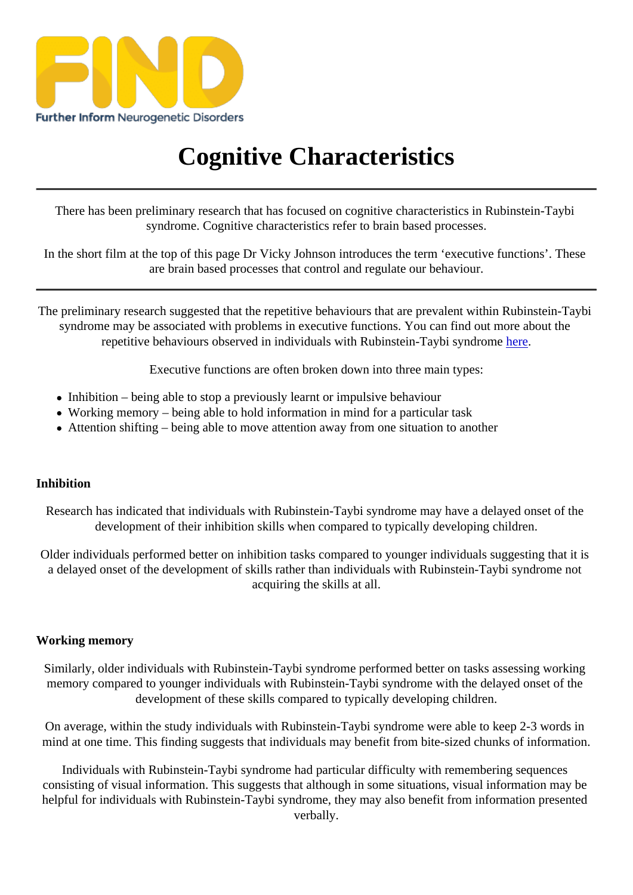## [Cogni](https://findresources.co.uk)tive Characteristics

There has been preliminary research that has focused on cognitive characteristics in Rubinstein-Taybi syndrome. Cognitive characteristics refebtein based rocesses.

In the short film at the top of this page Dr Vicky Johnson introduces the term 'executive functions'. These are brain based processes that control and regulate our behaviour.

The preliminary research suggested that the repetitive behaviours that are prevalent within Rubinstein-Taybi syndrome may be associated with problems in executive functions. You can find out more about the repetitive behaviours observed in individuals with Rubinstein-Taybi syndinente

Executive functions are often broken down into three main types:

- Inhibition being able to stop a previously learnt or impulsive behaviour
- Working memory being able to hold information in mind for a particular task
- Attention shifting being able to move attention away from one situation to another

## **Inhibition**

Research has indicated that individuals with Rubinstein-Taybi syndrome may delay edonset of the development of their inhibition skills when compared to typically developing children.

Older individuals performed better on inhibition tasks compared to younger individuals suggesting that it is a delayed onset of the development of skills rather than individuals with Rubinstein-Taybi syndrome not acquiring the skills at all.

## Working memory

Similarly, older individuals with Rubinstein-Taybi syndrome performed better on tasks assessing working memory compared to younger individuals with Rubinstein-Taybi syndrome with the delayed onset of the development of these skills compared to typically developing children.

On average, within the study individuals with Rubinstein-Taybi syndrome were able to keep 2-3 words in mind at one time. This finding suggests that individuals may benefit from biteestine was information.

Individuals with Rubinstein-Taybi syndrome had particular difficulty with remembering sequences consisting of visual information. This suggests that although in some situations, visual information may be helpful for individuals with Rubinstein-Taybi syndrome, they may also benefit from information presented verbally.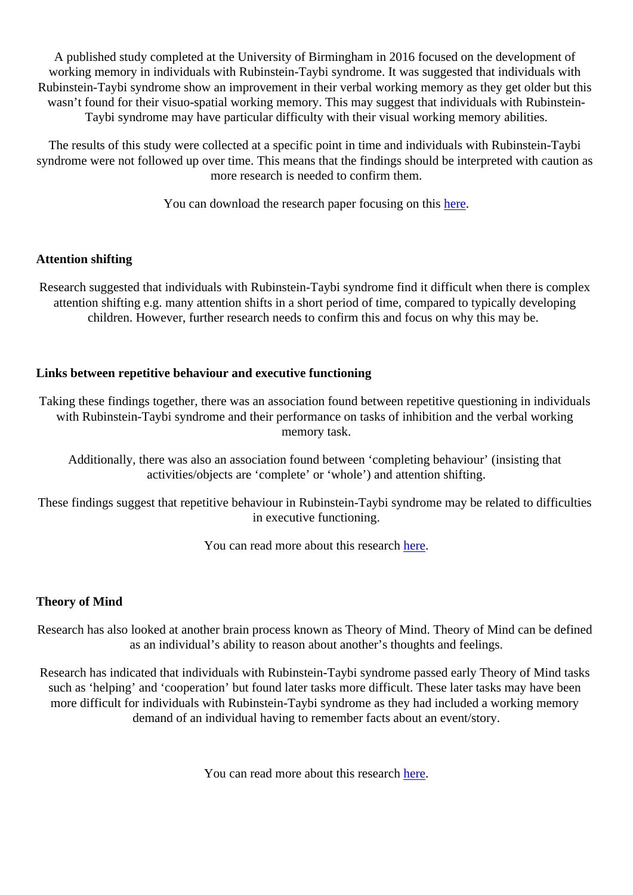A published study completed at the University of Birmingham in 2016 focused on the development of working memory in individuals with Rubinstein-Taybi syndrome. It was suggested that individuals with Rubinstein-Taybi syndrome show an improvement in their verbal working memory as they get older but this wasn't found for their visuo-spatial working memory. This may suggest that individuals with Rubinstein-Taybi syndrome may have particular difficulty with their visual working memory abilities.

The results of this study were collected at a specific point in time and individuals with Rubinstein-Taybi syndrome were not followed up over time. This means that the findings should be interpreted with caution as more research is needed to confirm them.

You can download the research paper focusing orthering

## Attention shifting

Research suggested that individuals with Rubinstein-Taybi syndrome find it difficult when there is complex attention shifting e.g. many attention shifts in a short period of time, compared to typically developing children. However, further research needs to confirm this and focus on why this may be.

Links between repetitive behaviour and executive functioning

Taking these findings together, there was an association found between repetitive questioning in individuals with Rubinstein-Taybi syndrome and their performance on tasks of inhibition and the verbal working memory task.

Additionally, there was also an association found between 'completing behaviour' (insisting that activities/objects arcomplete' or 'whole) and attention shifting.

These findings suggest that repetitive behaviour in Rubinstein-Taybi syndrome may be related to difficulties in executive functioning.

You can read more about this researche

Theory of Mind

Research has also looked at another brain process known as Theory of Mind. Theory of Mind can be defined as an individual's ability to reason about another's thoughts and feelings.

Research has indicated that individuals with Rubinstein-Taybi syndrome passed early Theory of Mind tasks such as 'helping' and 'cooperation' but found later tasks more difficult. These later tasks may have been more difficult for individuals with Rubinstein-Taybi syndrome as they had included a working memory demand of an individual having to remember facts about an event/story.

You can read more about this researchere.